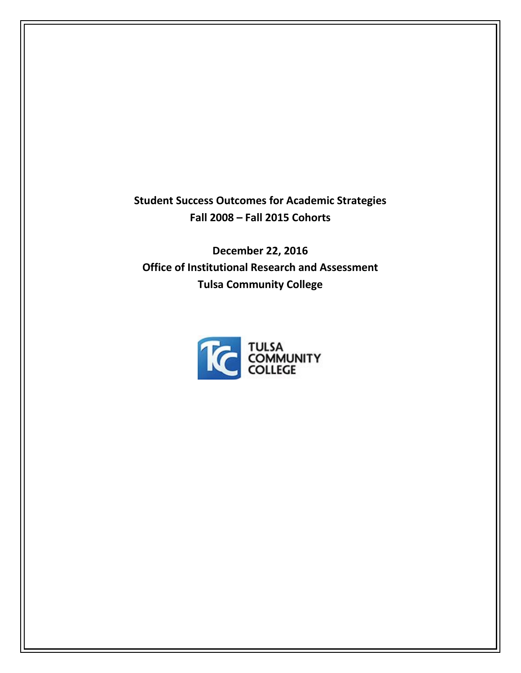**Student Success Outcomes for Academic Strategies Fall 2008 – Fall 2015 Cohorts**

**December 22, 2016 Office of Institutional Research and Assessment Tulsa Community College**

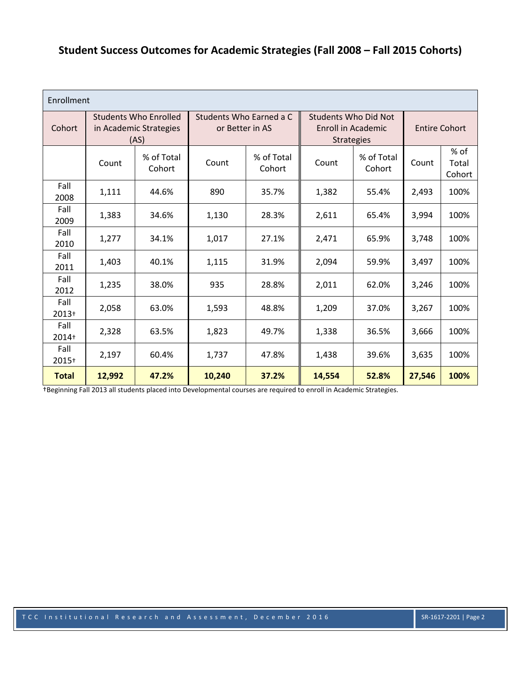## **Student Success Outcomes for Academic Strategies (Fall 2008 – Fall 2015 Cohorts)**

| Enrollment      |                                                                |                      |                                            |                      |                                                                               |                      |                      |                         |  |
|-----------------|----------------------------------------------------------------|----------------------|--------------------------------------------|----------------------|-------------------------------------------------------------------------------|----------------------|----------------------|-------------------------|--|
| Cohort          | <b>Students Who Enrolled</b><br>in Academic Strategies<br>(AS) |                      | Students Who Earned a C<br>or Better in AS |                      | <b>Students Who Did Not</b><br><b>Enroll in Academic</b><br><b>Strategies</b> |                      | <b>Entire Cohort</b> |                         |  |
|                 | Count                                                          | % of Total<br>Cohort | Count                                      | % of Total<br>Cohort | Count                                                                         | % of Total<br>Cohort | Count                | % of<br>Total<br>Cohort |  |
| Fall<br>2008    | 1,111                                                          | 44.6%                | 890                                        | 35.7%                | 1,382                                                                         | 55.4%                | 2,493                | 100%                    |  |
| Fall<br>2009    | 1,383                                                          | 34.6%                | 1,130                                      | 28.3%                | 2,611                                                                         | 65.4%                | 3,994                | 100%                    |  |
| Fall<br>2010    | 1,277                                                          | 34.1%                | 1,017                                      | 27.1%                | 2,471                                                                         | 65.9%                | 3,748                | 100%                    |  |
| Fall<br>2011    | 1,403                                                          | 40.1%                | 1,115                                      | 31.9%                | 2,094                                                                         | 59.9%                | 3,497                | 100%                    |  |
| Fall<br>2012    | 1,235                                                          | 38.0%                | 935                                        | 28.8%                | 2,011                                                                         | 62.0%                | 3,246                | 100%                    |  |
| Fall<br>$2013+$ | 2,058                                                          | 63.0%                | 1,593                                      | 48.8%                | 1,209                                                                         | 37.0%                | 3,267                | 100%                    |  |
| Fall<br>2014+   | 2,328                                                          | 63.5%                | 1,823                                      | 49.7%                | 1,338                                                                         | 36.5%                | 3,666                | 100%                    |  |
| Fall<br>2015+   | 2,197                                                          | 60.4%                | 1,737                                      | 47.8%                | 1,438                                                                         | 39.6%                | 3,635                | 100%                    |  |
| <b>Total</b>    | 12,992                                                         | 47.2%                | 10,240                                     | 37.2%                | 14,554                                                                        | 52.8%                | 27,546               | 100%                    |  |

†Beginning Fall 2013 all students placed into Developmental courses are required to enroll in Academic Strategies.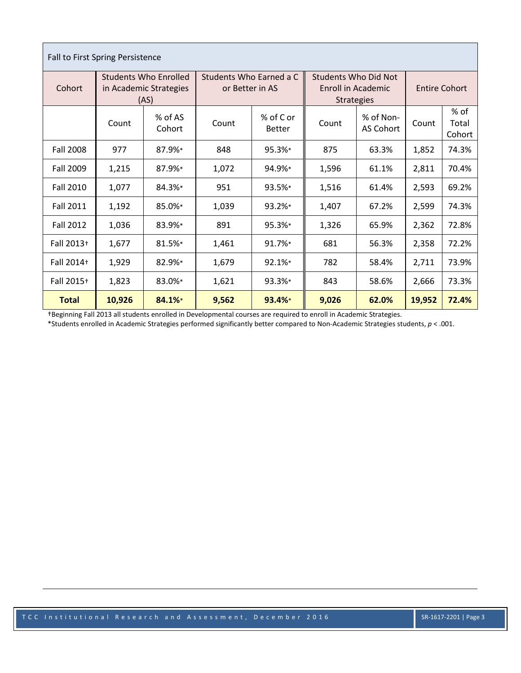| Fall to First Spring Persistence |                                                                |                   |                                            |                     |                                                                               |                        |                      |                         |  |
|----------------------------------|----------------------------------------------------------------|-------------------|--------------------------------------------|---------------------|-------------------------------------------------------------------------------|------------------------|----------------------|-------------------------|--|
| Cohort                           | <b>Students Who Enrolled</b><br>in Academic Strategies<br>(AS) |                   | Students Who Earned a C<br>or Better in AS |                     | <b>Students Who Did Not</b><br><b>Enroll in Academic</b><br><b>Strategies</b> |                        | <b>Entire Cohort</b> |                         |  |
|                                  | Count                                                          | % of AS<br>Cohort | Count                                      | % of C or<br>Better | Count                                                                         | % of Non-<br>AS Cohort | Count                | % of<br>Total<br>Cohort |  |
| <b>Fall 2008</b>                 | 977                                                            | 87.9%*            | 848                                        | 95.3%*              | 875                                                                           | 63.3%                  | 1,852                | 74.3%                   |  |
| <b>Fall 2009</b>                 | 1,215                                                          | 87.9%*            | 1,072                                      | 94.9%*              | 1,596                                                                         | 61.1%                  | 2,811                | 70.4%                   |  |
| Fall 2010                        | 1,077                                                          | 84.3%*            | 951                                        | 93.5%*              | 1,516                                                                         | 61.4%                  | 2,593                | 69.2%                   |  |
| <b>Fall 2011</b>                 | 1,192                                                          | 85.0%*            | 1,039                                      | 93.2%*              | 1,407                                                                         | 67.2%                  | 2,599                | 74.3%                   |  |
| <b>Fall 2012</b>                 | 1,036                                                          | 83.9%*            | 891                                        | 95.3%*              | 1,326                                                                         | 65.9%                  | 2,362                | 72.8%                   |  |
| Fall 2013+                       | 1,677                                                          | 81.5%*            | 1,461                                      | 91.7%*              | 681                                                                           | 56.3%                  | 2,358                | 72.2%                   |  |
| Fall 2014+                       | 1,929                                                          | 82.9%*            | 1,679                                      | 92.1%*              | 782                                                                           | 58.4%                  | 2,711                | 73.9%                   |  |
| Fall 2015+                       | 1,823                                                          | 83.0%*            | 1,621                                      | 93.3%*              | 843                                                                           | 58.6%                  | 2,666                | 73.3%                   |  |
| <b>Total</b>                     | 10,926                                                         | 84.1%*            | 9,562                                      | 93.4%*              | 9,026                                                                         | 62.0%                  | 19,952               | 72.4%                   |  |

†Beginning Fall 2013 all students enrolled in Developmental courses are required to enroll in Academic Strategies.

Г

\*Students enrolled in Academic Strategies performed significantly better compared to Non-Academic Strategies students, *p* < .001.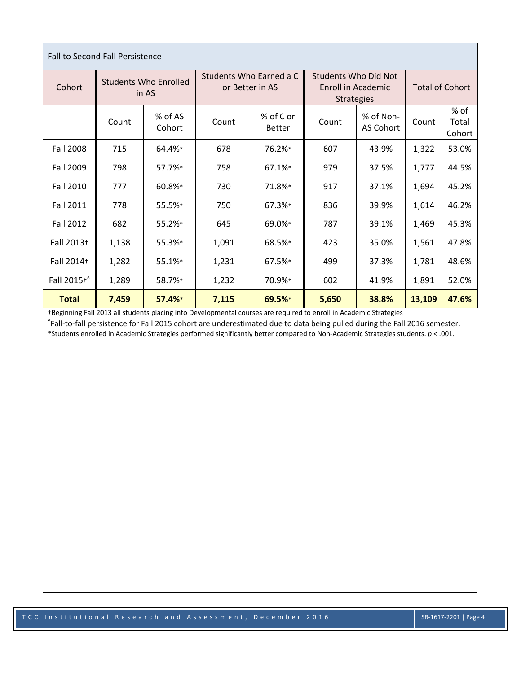| <b>Fall to Second Fall Persistence</b> |                                       |                   |                                            |                            |                                                                 |                        |                        |                         |  |
|----------------------------------------|---------------------------------------|-------------------|--------------------------------------------|----------------------------|-----------------------------------------------------------------|------------------------|------------------------|-------------------------|--|
| Cohort                                 | <b>Students Who Enrolled</b><br>in AS |                   | Students Who Earned a C<br>or Better in AS |                            | Students Who Did Not<br>Enroll in Academic<br><b>Strategies</b> |                        | <b>Total of Cohort</b> |                         |  |
|                                        | Count                                 | % of AS<br>Cohort | Count                                      | % of C or<br><b>Better</b> | Count                                                           | % of Non-<br>AS Cohort | Count                  | % of<br>Total<br>Cohort |  |
| <b>Fall 2008</b>                       | 715                                   | 64.4%*            | 678                                        | 76.2%*                     | 607                                                             | 43.9%                  | 1,322                  | 53.0%                   |  |
| <b>Fall 2009</b>                       | 798                                   | 57.7%*            | 758                                        | 67.1%*                     | 979                                                             | 37.5%                  | 1,777                  | 44.5%                   |  |
| <b>Fall 2010</b>                       | 777                                   | 60.8%*            | 730                                        | 71.8%*                     | 917                                                             | 37.1%                  | 1,694                  | 45.2%                   |  |
| <b>Fall 2011</b>                       | 778                                   | 55.5%*            | 750                                        | 67.3%*                     | 836                                                             | 39.9%                  | 1,614                  | 46.2%                   |  |
| <b>Fall 2012</b>                       | 682                                   | 55.2%*            | 645                                        | 69.0%*                     | 787                                                             | 39.1%                  | 1,469                  | 45.3%                   |  |
| Fall 2013+                             | 1,138                                 | 55.3%*            | 1,091                                      | 68.5%*                     | 423                                                             | 35.0%                  | 1,561                  | 47.8%                   |  |
| Fall 2014+                             | 1,282                                 | 55.1%*            | 1,231                                      | 67.5%*                     | 499                                                             | 37.3%                  | 1,781                  | 48.6%                   |  |
| Fall 2015+^                            | 1,289                                 | 58.7%*            | 1,232                                      | 70.9%*                     | 602                                                             | 41.9%                  | 1,891                  | 52.0%                   |  |
| <b>Total</b>                           | 7,459                                 | 57.4%*            | 7,115                                      | 69.5%*                     | 5,650                                                           | 38.8%                  | 13,109                 | 47.6%                   |  |

†Beginning Fall 2013 all students placing into Developmental courses are required to enroll in Academic Strategies

^ Fall-to-fall persistence for Fall 2015 cohort are underestimated due to data being pulled during the Fall 2016 semester.

\*Students enrolled in Academic Strategies performed significantly better compared to Non-Academic Strategies students. *p* < .001.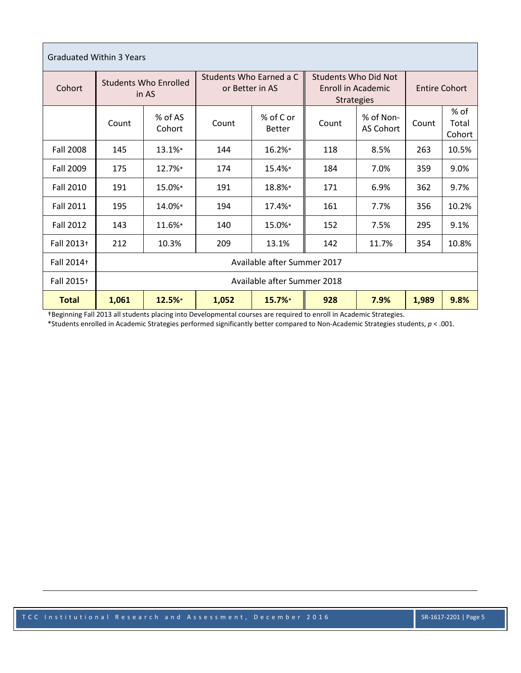| <b>Graduated Within 3 Years</b> |                                       |                             |                                            |                            |                                                                 |                        |                      |                         |  |
|---------------------------------|---------------------------------------|-----------------------------|--------------------------------------------|----------------------------|-----------------------------------------------------------------|------------------------|----------------------|-------------------------|--|
| Cohort                          | <b>Students Who Enrolled</b><br>in AS |                             | Students Who Earned a C<br>or Better in AS |                            | Students Who Did Not<br>Enroll in Academic<br><b>Strategies</b> |                        | <b>Entire Cohort</b> |                         |  |
|                                 | Count                                 | % of AS<br>Cohort           | Count                                      | % of C or<br><b>Better</b> | Count                                                           | % of Non-<br>AS Cohort | Count                | % of<br>Total<br>Cohort |  |
| <b>Fall 2008</b>                | 145                                   | 13.1%*                      | 144                                        | 16.2%*                     | 118                                                             | 8.5%                   | 263                  | 10.5%                   |  |
| <b>Fall 2009</b>                | 175                                   | 12.7%*                      | 174                                        | 15.4%*                     | 184                                                             | 7.0%                   | 359                  | 9.0%                    |  |
| <b>Fall 2010</b>                | 191                                   | 15.0%*                      | 191                                        | 18.8%*                     | 171                                                             | 6.9%                   | 362                  | 9.7%                    |  |
| <b>Fall 2011</b>                | 195                                   | 14.0%*                      | 194                                        | 17.4%*                     | 161                                                             | 7.7%                   | 356                  | 10.2%                   |  |
| <b>Fall 2012</b>                | 143                                   | 11.6%*                      | 140                                        | 15.0%*                     | 152                                                             | 7.5%                   | 295                  | 9.1%                    |  |
| Fall 2013+                      | 212                                   | 10.3%                       | 209                                        | 13.1%                      | 142                                                             | 11.7%                  | 354                  | 10.8%                   |  |
| Fall 2014+                      | Available after Summer 2017           |                             |                                            |                            |                                                                 |                        |                      |                         |  |
| Fall 2015+                      |                                       | Available after Summer 2018 |                                            |                            |                                                                 |                        |                      |                         |  |
| <b>Total</b>                    | 1,061                                 | 12.5%*                      | 1,052                                      | 15.7%*                     | 928                                                             | 7.9%                   | 1,989                | 9.8%                    |  |

†Beginning Fall 2013 all students placing into Developmental courses are required to enroll in Academic Strategies.

\*Students enrolled in Academic Strategies performed significantly better compared to Non-Academic Strategies students, *p* < .001.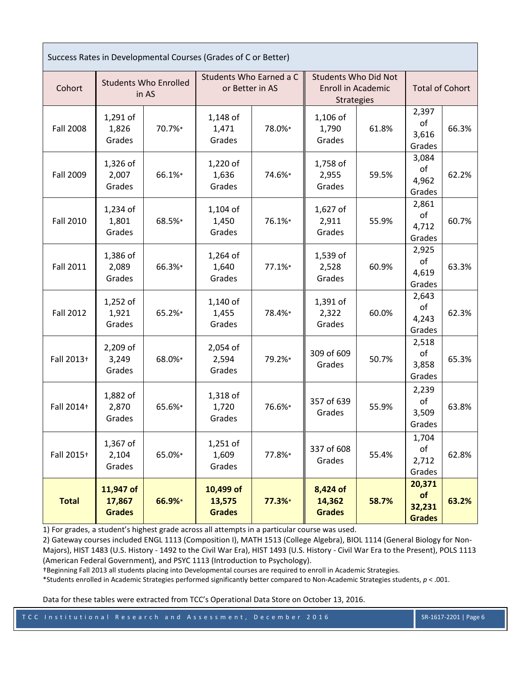| Success Rates in Developmental Courses (Grades of C or Better) |                                       |        |                                            |        |                                                                               |       |                                         |       |
|----------------------------------------------------------------|---------------------------------------|--------|--------------------------------------------|--------|-------------------------------------------------------------------------------|-------|-----------------------------------------|-------|
| Cohort                                                         | <b>Students Who Enrolled</b><br>in AS |        | Students Who Earned a C<br>or Better in AS |        | <b>Students Who Did Not</b><br><b>Enroll in Academic</b><br><b>Strategies</b> |       | <b>Total of Cohort</b>                  |       |
| <b>Fall 2008</b>                                               | $1,291$ of<br>1,826<br>Grades         | 70.7%* | $1,148$ of<br>1,471<br>Grades              | 78.0%* | $1,106$ of<br>1,790<br>Grades                                                 | 61.8% | 2,397<br>of<br>3,616<br>Grades          | 66.3% |
| <b>Fall 2009</b>                                               | 1,326 of<br>2,007<br>Grades           | 66.1%* | 1,220 of<br>1,636<br>Grades                | 74.6%* | 1,758 of<br>2,955<br>Grades                                                   | 59.5% | 3,084<br>of<br>4,962<br>Grades          | 62.2% |
| <b>Fall 2010</b>                                               | 1,234 of<br>1,801<br>Grades           | 68.5%* | $1,104$ of<br>1,450<br>Grades              | 76.1%* | $1,627$ of<br>2,911<br>Grades                                                 | 55.9% | 2,861<br>of<br>4,712<br>Grades          | 60.7% |
| <b>Fall 2011</b>                                               | 1,386 of<br>2,089<br>Grades           | 66.3%* | 1,264 of<br>1,640<br>Grades                | 77.1%* | 1,539 of<br>2,528<br>Grades                                                   | 60.9% | 2,925<br>of<br>4,619<br>Grades          | 63.3% |
| <b>Fall 2012</b>                                               | $1,252$ of<br>1,921<br>Grades         | 65.2%* | $1,140$ of<br>1,455<br>Grades              | 78.4%* | 1,391 of<br>2,322<br>Grades                                                   | 60.0% | 2,643<br>of<br>4,243<br>Grades          | 62.3% |
| Fall 2013+                                                     | 2,209 of<br>3,249<br>Grades           | 68.0%* | 2,054 of<br>2,594<br>Grades                | 79.2%* | 309 of 609<br>Grades                                                          | 50.7% | 2,518<br>of<br>3,858<br>Grades          | 65.3% |
| Fall 2014+                                                     | 1,882 of<br>2,870<br>Grades           | 65.6%* | $1,318$ of<br>1,720<br>Grades              | 76.6%* | 357 of 639<br>Grades                                                          | 55.9% | 2,239<br>of<br>3,509<br>Grades          | 63.8% |
| Fall 2015+                                                     | 1,367 of<br>2,104<br>Grades           | 65.0%* | 1,251 of<br>1,609<br>Grades                | 77.8%* | 337 of 608<br>Grades                                                          | 55.4% | 1,704<br>of<br>2,712<br>Grades          | 62.8% |
| <b>Total</b>                                                   | 11,947 of<br>17,867<br><b>Grades</b>  | 66.9%* | 10,499 of<br>13,575<br><b>Grades</b>       | 77.3%* | 8,424 of<br>14,362<br><b>Grades</b>                                           | 58.7% | 20,371<br>of<br>32,231<br><b>Grades</b> | 63.2% |

1) For grades, a student's highest grade across all attempts in a particular course was used.

2) Gateway courses included ENGL 1113 (Composition I), MATH 1513 (College Algebra), BIOL 1114 (General Biology for Non-Majors), HIST 1483 (U.S. History - 1492 to the Civil War Era), HIST 1493 (U.S. History - Civil War Era to the Present), POLS 1113 (American Federal Government), and PSYC 1113 (Introduction to Psychology).

†Beginning Fall 2013 all students placing into Developmental courses are required to enroll in Academic Strategies.

\*Students enrolled in Academic Strategies performed significantly better compared to Non-Academic Strategies students, *p* < .001.

Data for these tables were extracted from TCC's Operational Data Store on October 13, 2016.

TCC Institutional Research and Assessment, December 2016 SR-1617-2201 | Page 6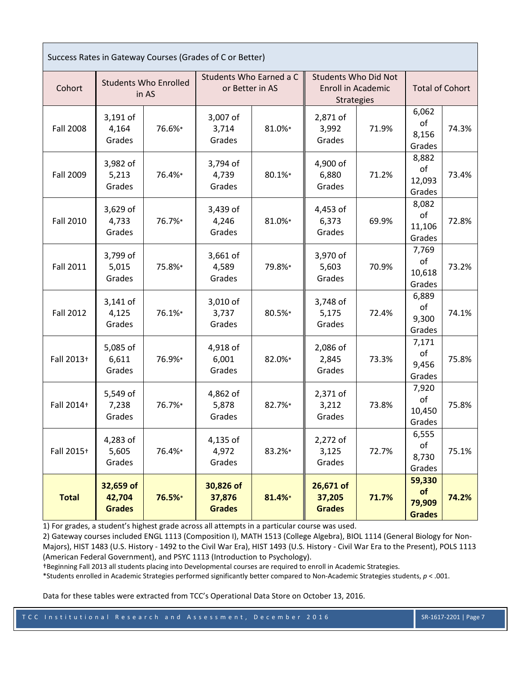| Success Rates in Gateway Courses (Grades of C or Better) |                                       |        |                                            |        |                                                                               |       |                                         |       |
|----------------------------------------------------------|---------------------------------------|--------|--------------------------------------------|--------|-------------------------------------------------------------------------------|-------|-----------------------------------------|-------|
| Cohort                                                   | <b>Students Who Enrolled</b><br>in AS |        | Students Who Earned a C<br>or Better in AS |        | <b>Students Who Did Not</b><br><b>Enroll in Academic</b><br><b>Strategies</b> |       | <b>Total of Cohort</b>                  |       |
| <b>Fall 2008</b>                                         | 3,191 of<br>4,164<br>Grades           | 76.6%* | 3,007 of<br>3,714<br>Grades                | 81.0%* | 2,871 of<br>3,992<br>Grades                                                   | 71.9% | 6,062<br>of<br>8,156<br>Grades          | 74.3% |
| <b>Fall 2009</b>                                         | 3,982 of<br>5,213<br>Grades           | 76.4%* | 3,794 of<br>4,739<br>Grades                | 80.1%* | 4,900 of<br>6,880<br>Grades                                                   | 71.2% | 8,882<br>of<br>12,093<br>Grades         | 73.4% |
| <b>Fall 2010</b>                                         | 3,629 of<br>4,733<br>Grades           | 76.7%* | 3,439 of<br>4,246<br>Grades                | 81.0%* | 4,453 of<br>6,373<br>Grades                                                   | 69.9% | 8,082<br>of<br>11,106<br>Grades         | 72.8% |
| <b>Fall 2011</b>                                         | 3,799 of<br>5,015<br>Grades           | 75.8%* | 3,661 of<br>4,589<br>Grades                | 79.8%* | 3,970 of<br>5,603<br>Grades                                                   | 70.9% | 7,769<br>of<br>10,618<br>Grades         | 73.2% |
| <b>Fall 2012</b>                                         | 3,141 of<br>4,125<br>Grades           | 76.1%* | 3,010 of<br>3,737<br>Grades                | 80.5%* | 3,748 of<br>5,175<br>Grades                                                   | 72.4% | 6,889<br>of<br>9,300<br>Grades          | 74.1% |
| Fall 2013+                                               | 5,085 of<br>6,611<br>Grades           | 76.9%* | 4,918 of<br>6,001<br>Grades                | 82.0%* | 2,086 of<br>2,845<br>Grades                                                   | 73.3% | 7,171<br>of<br>9,456<br>Grades          | 75.8% |
| Fall 2014+                                               | 5,549 of<br>7,238<br>Grades           | 76.7%* | 4,862 of<br>5,878<br>Grades                | 82.7%* | 2,371 of<br>3,212<br>Grades                                                   | 73.8% | 7,920<br>of<br>10,450<br>Grades         | 75.8% |
| Fall 2015+                                               | 4,283 of<br>5,605<br>Grades           | 76.4%* | 4,135 of<br>4,972<br>Grades                | 83.2%* | 2,272 of<br>3,125<br>Grades                                                   | 72.7% | 6,555<br>of<br>8,730<br>Grades          | 75.1% |
| <b>Total</b>                                             | 32,659 of<br>42,704<br><b>Grades</b>  | 76.5%* | 30,826 of<br>37,876<br><b>Grades</b>       | 81.4%* | 26,671 of<br>37,205<br><b>Grades</b>                                          | 71.7% | 59,330<br>of<br>79,909<br><b>Grades</b> | 74.2% |

1) For grades, a student's highest grade across all attempts in a particular course was used.

2) Gateway courses included ENGL 1113 (Composition I), MATH 1513 (College Algebra), BIOL 1114 (General Biology for Non-Majors), HIST 1483 (U.S. History - 1492 to the Civil War Era), HIST 1493 (U.S. History - Civil War Era to the Present), POLS 1113 (American Federal Government), and PSYC 1113 (Introduction to Psychology).

†Beginning Fall 2013 all students placing into Developmental courses are required to enroll in Academic Strategies.

\*Students enrolled in Academic Strategies performed significantly better compared to Non-Academic Strategies students, *p* < .001.

Data for these tables were extracted from TCC's Operational Data Store on October 13, 2016.

п